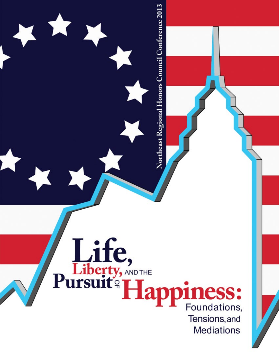Life,<br>Pursuit<sup>9</sup> Happiness: Tensions, and **Mediations** 

Northeast Regional Honors Council Conference 2013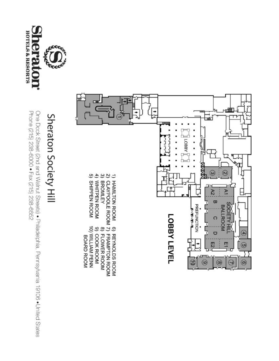

# Sheraton Society Hill



Phone (215) 238-6000 • Fax (215) 238-6652 One Dock Street (2nd and Walnut Streets) • Philadelphia, Pennsylvania 19106 • United States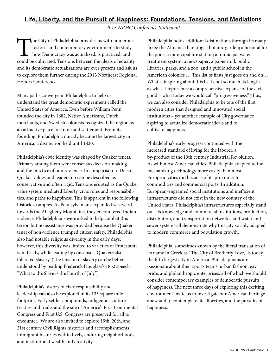#### **Life, Liberty, and the Pursuit of Happiness: Foundations, Tensions, and Mediations**

*2013 NRHC Conference Statement*

The City of Philadelphia provides us with numerous<br>historic and contemporary environments to study<br>how Democracy was actualized, is practiced, and<br>could be cultivated. Tensions between the ideals of equality historic and contemporary environments to study how Democracy was actualized, is practiced, and could be cultivated. Tensions between the ideals of equality and its democratic actualizations are ever present and ask us to explore them further during the 2013 Northeast Regional Honors Conference.

Many paths converge in Philadelphia to help us understand the great democratic experiment called the United States of America. Even before William Penn founded the city in 1682, Native Americans, Dutch merchants, and Swedish colonists recognized the region as an attractive place for trade and settlement. From its founding, Philadelphia quickly became the largest city in America, a distinction held until 1830.

Philadelphia's civic identity was shaped by Quaker tenets. Primary among them were consensus decision-making and the practice of non-violence. In comparison to Deism, Quaker values and leadership can be described as conservative and often rigid. Tensions erupted as the Quaker value system mediated Liberty, civic roles and responsibilities, and paths to happiness. This is apparent in the following historic examples. As Pennsylvanians expanded westward towards the Allegheny Mountains, they encountered Indian violence. Philadelphians were asked to help combat this terror, but no assistance was provided because the Quaker tenet of non-violence trumped citizen safety. Philadelphia also had notable religious diversity in the early days; however, this diversity was limited to varieties of Protestantism. Lastly, while leading by consensus, Quakers also tolerated slavery. (The tension of slavery can be better understood by reading Frederick Douglass's 1852 speech "What to the Slave is the Fourth of July.")

Philadelphia's history of civic responsibility and leadership can also be explored in its 135 square mile footprint. Early settler compounds, indigenous culture treaties and trade, and the site of America's First Continental Congress and First U.S. Congress are preserved for all to encounter. We are also invited to explore 19th, 20th, and 21st century Civil Rights histories and accomplishments, immigrant histories within lively, enduring neighborhoods, and institutional wealth and creativity.

Philadelphia holds additional distinctions through its many firsts: the Almanac; banking; a botanic garden; a hospital for the poor; a municipal fire station; a municipal water treatment system; a newspaper; a paper mill; public libraries, parks, and a zoo; and a public school in the American colonies … This list of firsts just goes on and on… What is inspiring about this list is not so much its length as what it represents: a comprehensive expanse of the civic good – what today we would call "progressiveness." Thus, we can also consider Philadelphia to be one of the first modern cities that designed and innovated social institutions – yet another example of City governance aspiring to actualize democratic ideals and to cultivate happiness.

Philadelphia's early progress continued with the increased standard of living for the laborer, a by-product of the 19th century Industrial Revolution. As with most American cities, Philadelphia adapted to the mechanizing technology more easily than most European cities did because of its proximity to commodities and commercial ports. In addition, European-engrained social institutions and inefficient infrastructures did not exist in the new country of the United States. Philadelphia's infrastructures especially stand out. Its knowledge and commercial institutions, production, distribution, and transportation networks, and water and sewer systems all demonstrate why this city so ably adapted to modern commerce and population growth.

Philadelphia, sometimes known by the literal translation of its name in Greek as "The City of Brotherly Love," is today the fifth largest city in America. Philadelphians are passionate about their sports teams, urban fashion, gay pride, and philanthropic enterprises, all of which we should consider contemporary examples of democratic pursuits of happiness. The next three days of exploring this exciting environment invite us to investigate our American heritage anew and to contemplate life, liberties, and the pursuits of happiness.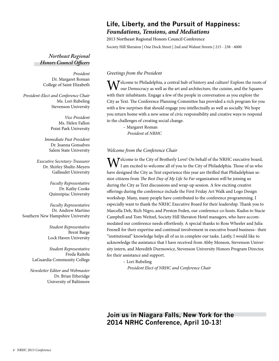## **Life, Liberty, and the Pursuit of Happiness:** *Foundations, Tensions, and Mediations*

2013 Northeast Regional Honors Council Conference

Society Hill Sheraton | One Dock Street | 2nd and Walnut Streets | 215 - 238 - 6000

*Northeast Regional Honors Council Officers* 

> *President* Dr. Margaret Roman College of Saint Elizabeth

*President-Elect and Conference Chair* Ms. Lori Rubeling Stevenson University

> *Vice President*  Ms. Helen Fallon Point Park University

*Immediate Past President*  Dr. Joanna Gonsalves Salem State University

*Executive Secretary-Treasurer*  Dr. Shirley Shultz-Meyers Gallaudet University

> *Faculty Representative* Dr. Kathy Cooke Quinnipiac University

*Faculty Representative* Dr. Andrew Martino Southern New Hampshire University

> *Student Representative* Brent Barge Lock Haven University

*Student Representative* Freda Raitelu LaGuardia Community College

*Newsletter Editor and Webmaster*  Dr. Brian Etheridge University of Baltimore

#### *Greetings from the President*

Welcome to Philadelphia, a central hub of history and culture! Explore the roots of our Democracy as well as the art and architecture, the cuisine, and the Squares with their inhabitants. Engage a few of the people in conversation as you explore the City as Text. The Conference Planning Committee has provided a rich program for you with a few surprises that should engage you intellectually as well as socially. We hope you return home with a new sense of civic responsibility and creative ways to respond to the challenges of creating social change.

> – Margaret Roman  *President* of *NRHC*

#### *Welcome from the Conference Chair*

Welcome to the City of Brotherly Love! On behalf of the NRHC executive board, I am excited to welcome all of you to the City of Philadelphia. Those of us who have designed the City as Text experience this year are thrilled that Philadelphian senior citizens from *The Best Day of My Life So Far* organization will be joining us during the City as Text discussions and wrap-up session. A few exciting creative offerings during the conference include the First Friday Art Walk and Logo Design workshop. Many, many people have contributed to the conference programming. I especially want to thank the NRHC Executive Board for their leadership. Thank you to Marcella Deh, Rich Nigro, and Preston Feden, our conference co-hosts. Kudos to Stacie Campbell and Tom Weitzel, Society Hill Sheraton Hotel managers, who have accommodated our conference needs effortlessly. A special thanks to Ross Wheeler and Julia Fennell for their expertise and continual involvement in executive board business– their "institutional" knowledge helps all of us in complete our tasks. Lastly, I would like to acknowledge the assistance that I have received from Abby Monson, Stevenson University intern, and Meredith Durmowicz, Stevenson University Honors Program Director, for their assistance and support.

– Lori Rubeling

 *President Elect of NRHC and Conference Chair*

**Join us in Niagara Falls, New York for the 2014 NRHC Conference, April 10-13!**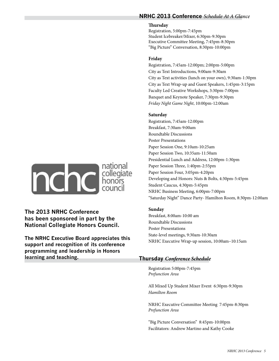#### **NRHC 2013 Conference** *Schedule At A Glance*

#### **Thursday**

Registration, 5:00pm-7:45pm Student Icebreaker/Mixer, 6:30pm-9:30pm Executive Committee Meeting, 7:45pm-8:30pm "Big Picture" Conversation, 8:30pm-10:00pm

#### **Friday**

Registration, 7:45am-12:00pm; 2:00pm-5:00pm City as Text Introductions, 9:00am-9:30am City as Text activities (lunch on your own), 9:30am-1:30pm City as Text Wrap-up and Guest Speakers, 1:45pm-3:15pm Faculty Led Creative Workshops, 3:30pm-7:00pm Banquet and Keynote Speaker, 7:30pm-9:30pm *Friday Night Game Night*, 10:00pm-12:00am

#### **Saturday**

Registration, 7:45am-12:00pm Breakfast, 7:30am-9:00am Roundtable Discussions Poster Presentations Paper Session One, 9:10am-10:25am Paper Session Two, 10:35am-11:50am Presidential Lunch and Address, 12:00pm-1:30pm Paper Session Three, 1:40pm-2:55pm Paper Session Four, 3:05pm-4:20pm Developing and Honors: Nuts & Bolts, 4:30pm-5:45pm Student Caucus, 4:30pm-5:45pm NRHC Business Meeting, 6:00pm-7:00pm "Saturday Night" Dance Party- Hamilton Room, 8:30pm-12:00am

#### **Sunday**

Breakfast, 8:00am-10:00 am Roundtable Discussions Poster Presentations State-level meetings, 9:30am-10:30am NRHC Executive Wrap-up session, 10:00am–10:15am

#### **Thursday** *Conference Schedule*

Registration 5:00pm-7:45pm *Prefunction Area*

All Mixed Up Student Mixer Event 6:30pm-9:30pm *Hamilton Room*

NRHC Executive Committee Meeting 7:45pm-8:30pm *Prefunction Area*

"Big Picture Conversation" 8:45pm-10:00pm Facilitators: Andrew Martino and Kathy Cooke



**The 2013 NRHC Conference has been sponsored in part by the National Collegiate Honors Council.**

**The NRHC Executive Board appreciates this support and recognition of its conference programming and leadership in Honors learning and teaching.**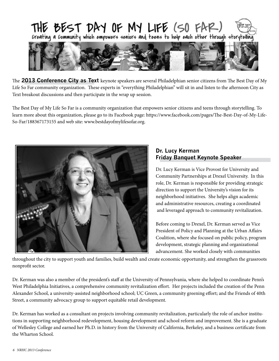

The **2013 Conference City as Text** keynote speakers are several Philadelphian senior citizens from The Best Day of My Life So Far community organization. These experts in "everything Philadelphian" will sit in and listen to the afternoon City as Text breakout discussions and then participate in the wrap up session.

The Best Day of My Life So Far is a community organization that empowers senior citizens and teens through storytelling. To learn more about this organization, please go to its Facebook page: https://www.facebook.com/pages/The-Best-Day-of-My-Life-So-Far/188367173155 and web site: www.bestdayofmylifesofar.org.



#### **Dr. Lucy Kerman Friday Banquet Keynote Speaker**

Dr. Lucy Kerman is Vice Provost for University and Community Partnerships at Drexel University. In this role, Dr. Kerman is responsible for providing strategic direction to support the University's vision for its neighborhood initiatives. She helps align academic and administrative resources, creating a coordinated and leveraged approach to community revitalization.

Before coming to Drexel, Dr. Kerman served as Vice President of Policy and Planning at the Urban Affairs Coalition, where she focused on public policy, program development, strategic planning and organizational advancement. She worked closely with communities

throughout the city to support youth and families, build wealth and create economic opportunity, and strengthen the grassroots nonprofit sector.

Dr. Kerman was also a member of the president's staff at the University of Pennsylvania, where she helped to coordinate Penn's West Philadelphia Initiatives, a comprehensive community revitalization effort. Her projects included the creation of the Penn Alexander School, a university-assisted neighborhood school; UC Green, a community greening effort; and the Friends of 40th Street, a community advocacy group to support equitable retail development.

Dr. Kerman has worked as a consultant on projects involving community revitalization, particularly the role of anchor institutions in supporting neighborhood redevelopment, housing development and school reform and improvement. She is a graduate of Wellesley College and earned her Ph.D. in history from the University of California, Berkeley, and a business certificate from the Wharton School.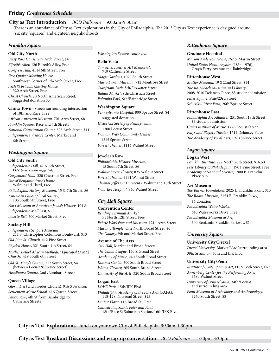#### **Friday** *Conference Schedule*

#### **City as Text Introduction** *BCD Ballroom* 9:00am-9:30am

 There is an abundance of City as Text explorations in the City of Philadelphia. The 2013 City as Text experience is designed around six city "squares" and eighteen neighborhoods.

#### *Franklin Square*

#### **Old City North**

*Betsy Ross House,* 239 Arch Street, \$4 *Elfreth's Alley,* 126 Elfreth's Alley, Free *Congress Hall,* 41 N 6th Street, Free *Free Quaker Meeting House*, Southwest Corner of 5th/Arch Street, Free *Arch St Friends Meeting House,* 320 Arch Street, Free *Christ Church,* 20 North American Street, Suggested donation \$3 **China Town**– Streets surrounding intersection of 10th and Race, Free *African American Museum,* 701 Arch Street, \$8 *Franklin Square,* Race and 7th Streets

*National Constitution Center,* 525 Arch Street, \$11 *Independence Visitor's Center*, Market and 6th Street

#### *Washington Square*

#### **Old City South**

*Independence Hall,* 41 N 6th Street, Free *(reservation suggested) Carpenters' Hall,* 320 Chestnut Street, Free *Site of Benjamin Rush's home,* Walnut and Third, Free *Philadelphia History Museum,* 15 S. 7th Street, \$6 *American Philosophical Society,* 105 South 5th Street, Free *Nat'l Museum of American Jewish History*, 101 S. *Independence Mall* East, \$11 *Liberty Bell,* 500 Market Street, Free

#### **Society Hill**

*Independence Seaport Museum* 211 S. Christopher Columbus Boulevard, \$10 *Old Pine St. Church,* 412 Pine Street *Physick House,* 321 South 4th Street, \$4

*Mother Bethel African Methodist Episcopal (AME) Church,* 419 South 6th Street

*Old St. Mary's Church,* 252 South Street, \$4 (between Locust & Spruce Street) *Headhouse Square,* 2nd /Lombard Streets

#### **Queen Village**

*Gloria Dei* (Old Swedes Church), 916 S Swanson *Settlement Music School,* 416 Queen Street *Fabric Row,* 4th St from Bainbridge to Catherine Streets

*Washington Square continued:*

#### **Bella Vista**

*Samuel S. Fleisher Art Memorial*, 719 Catherine Street *Magic Gardens*, 1020 South Street *Mario Lanza Museum*, 712 Montrose Street *Cianfriani Park*, 8th/Fitzwater Street *Italian Market*, 9th/Christian Street *Palumbo Park*, 9th/Bainbridge Street

#### **Washington Square**

*Pennsylvania Hospital*, 800 Spruce Street, \$4 suggested donation *Historical Society of Pennsylvania,* 1300 Locust Street *William Way Community Center*, 1315 Spruce Street *Forrest Theater*, 1114 Walnut Street

#### **Jeweler's Row**

*Philadelphia History Museum,*  15 South 7th Street, \$6 *Walnut Street Theater,* 825 Walnut Street *Forrest Theater,* 1114 Walnut Street *Thomas Jefferson University,* Walnut and 10th Street *Wills Eye Hospital,* 840 Walnut Street

#### *City Hall Square*

#### **Convention Center**

*Reading Terminal Market* 51 North 12th Street, Free *Fabric Workshop and Museum,* 1214 Arch Street *Masonic Temple,* One North Broad Street, \$6 *The Gallery,* 9th and Market Street, Free

#### **Avenue of The Arts**

*City Hall*, Market and Broad Streets *The Union League,* 140 S. Broad Street *Academy of Music,* 240 South Broad Street *Kimmel Center,* 300 South Broad Street *Wilma Theater,* 265 South Broad Street *University of the Arts,* 320 South Broad Street

#### **Logan East**

*LOVE Park,* 15th/JFK Blvd. *Philadelphia Academy of the Fine Arts* (PAFA), 118-128, N. Broad Street, \$15 *Lenfest Plaza,* 118 Broad St., Free *Cathedral of Saints Peter and Paul,* 18th/Race St Suburban Station, 16th/JFK Blvd.

#### *Rittenhouse Square*

#### **Graduate Hospital**

*Marion Anderson Home,* 762 S. Martin Street *United States Naval Asylum* (1834-1976), Gray's Ferry Avenue and Bainbridge

#### **Rittenhouse West**

*Mutter Museum,* 19 S 22nd Street, \$14 *The Rosenbach Museum and Library* 2008-2010 Delancey Place, \$5 student admission *Fitler Square,* Pine/23rd Street *Schuylkill River Park,* 26th/Spruce Street

#### **Rittenhouse East**

*Philadelphia Art Alliance,* 251 South 18th Street, \$3 student admission *Curtis Institute of Music,* 1726 Locust Street *Plays and Players Theater,* 1714 Delancey Place

*The Academy of Vocal Arts,* 1920 Spruce Street

#### *Logan Square*

#### **Logan West**

*Franklin Institute,* 222 North 20th Street, \$16.50 *Free Library of Philadelphia,* 1901 Vine Street, Free *Academy of National Science,* 1900 B. Franklin Pkwy, \$15

#### **Art Museum**

*The Barnes Foundation,* 2025 B. Franklin Pkwy, \$10 *The Rodin Museum,* 2154 B. Franklin Pkwy, \$6 donation *Philadelphia Water Works*, 640 Waterworks Drive, Free *Philadelphia Museum of Art,* 600 Benjamin Franklin Parkway, \$14

#### *University Square*

#### **University City/Drexel**

*Drexel University*, Market/33rd/surrounding area *30th St Station*, 30th and JFK Blvd

#### **University City/Penn**

*Institute of Contemporary Art*, 118 S. 36th Street, Free *Annenberg Center for the Performing Arts*, 3680 Walnut Street *University of Pennsylvania*, 34th/Locust

 and surrounding area *Penn Museum of Archeology and Anthropology*, 3260 South Street, \$8

#### **City as Text Explorations**– lunch on your own City of Philadelphia: 9:30am-1:30pm

**City as Text Breakout Discussions and wrap-up conversation** *BCD Ballroom* 1:30pm-3:30pm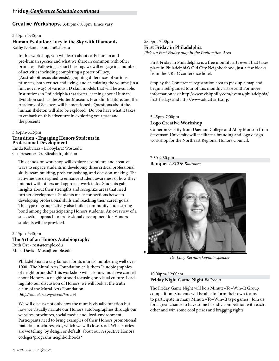**Creative Workshops,** 3:45pm-7:00pm times vary

#### 3:45pm-5:45pm

# **Human Evolution: Lucy in the Sky with Diamonds**

Kathy Noland - knolan@sfc.edu

In this workshop, you will learn about early human and pre-human species and what we share in common with other primates. Following a short briefing, we will engage in a number of activities including completing a poster of Lucy, (Australopithecus afarensis), graphing differences of various primates, both extinct and living, and calculating the volume (in a fun, novel way) of various 3D skull models that will be available. Institutions in Philadelphia that foster learning about Human Evolution such as the Mutter Museum, Franklin Institute, and the Academy of Sciences will be mentioned. Questions about the human skeleton will also be explored. Do you have what it takes to embark on this adventure in exploring your past and the present?

#### 3:45pm-5:15pm

# **Transition - Engaging Honors Students in Professional Development**

Linda Kobylarz - LKobylarz@Post.edu Co-presenter Dr. Elizabeth Johnson

This hands-on workshop will explore several fun and creative ways to engage students in developing three critical professional skills: team building, problem-solving, and decision-making. The activities are designed to enhance student awareness of how they interact with others and approach work tasks. Students gain insights about their strengths and recognize areas that need further development. Students make connections between developing professional skills and reaching their career goals. This type of group activity also builds community and a strong bond among the participating Honors students. An overview of a successful approach to professional development for Honors students will be provided.

#### 3:45pm-5:45pm

#### **The Art of an Honors Autobiography**  Ruth Ost - rost@temple.edu Musu Davis - Musu@temple.edu

Philadelphia is a city famous for its murals, numbering well over 1000. The Mural Arts Foundation calls them "autobiographies of neighborhoods." This workshop will ask how much we can tell about Honors– a neighborhood focusing on visual culture. Lead ing into our discussion of Honors, we will look at the truth claim of the Mural Arts Foundation. (*http://muralarts.org/about/history)*

We will discuss not only how the murals visually function but how we visually narrate our Honors autobiographies through our websites, brochures, social media and lived-environment. Participants need to bring examples of their Honors promotional material, brochures, etc., which we will close-read. What stories are we telling, by design or default, about our respective Honors colleges/programs neighborhoods?

#### 5:00pm-7:00pm **First Friday in Philadelphia**

*Pick-up First Friday map in the Prefunction Area*

First Friday in Philadelphia is a free monthly arts event that takes place in Philadelphia's Old City Neighborhood, just a few blocks from the NRHC conference hotel.

Stop by the Conference registration area to pick up a map and begin a self-guided tour of this monthly arts event! For more information visit http://www.visitphilly.com/events/philadelphia/ first-friday/ and http://www.oldcityarts.org/

#### 5:45pm-7:00pm

#### **Logo Creative Workshop**

Cameron Garrity from Daemon College and Abby Monson from Stevenson University will facilitate a branding and logo design workshop for the Northeast Regional Honors Council.

#### 7:30-9:30 pm **Banquet** *ABCDE Ballroom*



*Dr. Lucy Kerman keynote speaker*

#### 10:00pm-12:00am **Friday Night Game Night** *Ballroom*

The Friday Game Night will be a Minute–To–Win–It Group competition. Students will be able to form their own teams to participate in many Minute–To–Win–It type games. Join us for a great chance to have some friendly competition with each other and win some cool prizes and bragging rights!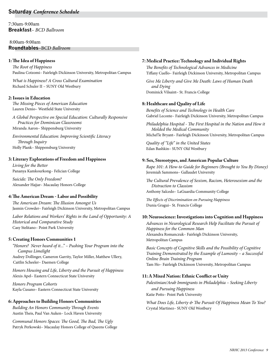7:30am-9:00am **Breakfast**– *BCD Ballroom* 

#### 8:00am-9:00am **Roundtables**–BCD *Ballroom*

#### **1: The Idea of Happiness**

*The Root of Happiness*  Paulina Cotzomi– Fairleigh Dickinson University, Metropolitan Campus

*What is Happiness? A Cross Cultural Examination*  Richard Schuler II – SUNY Old Westbury

#### **2: Issues in Education**

*The Missing Pieces of American Education*  Lauren Denio– Westfield State University

*A Global Perspective on Special Education: Culturally Responsive Practices for Dominican Classrooms*  Miranda Aaron– Shippensburg University

*Environmental Education: Improving Scientific Literacy Through Inquiry*  Holly Plank– Shippensburg University

#### **3: Literary Explorations of Freedom and Happiness**

*Living for the Better* Pananya Kamkourkong– Felician College

*Suicide: The Only Freedom?*  Alexander Hajjar– Macaulay Honors College

#### **4: The American Dream - Labor and Possibility**

*The American Dream: The Illusion Amongst Us*  Jasmin Crowder– Fairleigh Dickinson University, Metropolitan Campus

*Labor Relations and Workers' Rights in the Land of Opportunity: A Historical and Comparative Study* Casy Stelitano– Point Park University

#### **5: Creating Honors Communities 1**

*"Honors? Never heard of it..." – Pushing Your Program into the Campus Limelight*  Audrey Dollinger, Cameron Garrity, Taylor Miller, Matthew Ullery, Caitlin Scheeler– Daemen College

*Honors Housing and Life, Liberty and the Pursuit of Happiness*  Alexis Apel– Eastern Connecticut State University

*Honors Program Cohorts*  Kayla Cusano– Eastern Connecticut State University

#### **6: Approaches to Building Honors Communities**

*Building An Honors Community Through Events*  Austin Theis, Paul Van Auken– Lock Haven University

*Communal Honors Spaces: The Good, The Bad, The Ugly*  Patryk Perkowski– Macaulay Honors College of Queens College

#### **7: Medical Practice: Technology and Individual Rights**

*The Benefits of Technological Advances in Medicine*  Tiffany Cuello– Fairleigh Dickinson University, Metropolitan Campus

*Give Me Liberty and Give Me Death: Laws of Human Death and Dying*  Dominick Vilsaint– St. Francis College

#### **8: Healthcare and Quality of Life**

*Benefits of Science and Technology in Health Care*  Gabriel Leconte– Fairleigh Dickinson University, Metropolitan Campus

*Philadelphia Hospital - The First Hospital in the Nation and How it Molded the Medical Community*  Michel'le Bryant– Fairleigh Dickinson University, Metropolitan Campus

*Quality of "Life" in the United States*  Edan Bashkin– SUNY Old Westbury

#### **9: Sex, Stereotypes, and American Popular Culture**

*Rape 101: A How-to Guide for Beginners (Brought to You By Disney)*  Jeremiah Sammons– Gallaudet University

*The Cultural Prevalence of Sexism, Racism, Heterosexism and the Distraction to Classism*  Anthony Salcedo– LaGuardia Community College

*The Effects of Discrimination on Pursuing Happiness* Dunia Gragui– St. Francis College

#### **10: Neuroscience: Investigations into Cognition and Happiness**

*Advances in Neurological Research Help Facilitate the Pursuit of Happiness for the Common Man*  Alexandra Romanczuk– Fairleigh Dickinson University, Metropolitan Campus

*Basic Concepts of Cognitive Skills and the Possibility of Cognitive Training Demonstrated by the Example of Lumosity – a Successful Online Brain Training Program* Tam Ho– Fairleigh Dickinson University, Metropolitan Campus

#### **11: A Mixed Nation: Ethnic Conflict or Unity**

*Palestinian/Arab Immigrants in Philadelphia – Seeking Liberty and Pursuing Happiness* Katie Potts– Point Park University

*What Does Life, Liberty & The Pursuit Of Happiness Mean To You?*  Crystal Martinez– SUNY Old Westbury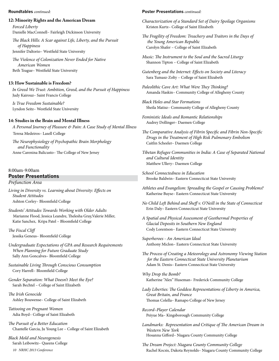#### **Roundtables** *continued:*

#### **12: Minority Rights and the American Dream**

*Forced Liberty*  Danielle MacConnell– Fairleigh Dickinson University

*The Black Hills: A Scar against Life, Liberty, and the Pursuit of Happiness*  Jennifer Daltorio– Westfield State University

*The Violence of Colonization Never Ended for Native American Women*  Beth Teague– Westfield State University

#### **13: How Sustainable is Freedom?**

*In Greed We Trust: Ambition, Greed, and the Pursuit of Happiness*  Judy Kairouz– Saint Francis College

*Is True Freedom Sustainable?*  Lyndon Seitz– Westfield State University

#### **14: Studies in the Brain and Mental Illness**

*A Personal Journey of Pleasure & Pain: A Case Study of Mental Illness* Teresa Medeiros– Lasell College

*The Neurophysiology of Psychopathic Brain Morphology and Functionality* Anne Carenina Balicusto– The College of New Jersey

#### 8:00am-9:00am

#### **Poster Presentations**

*Prefunction Area*

*Living in Diversity vs. Learning about Diversity: Effects on Student Attitudes* Ashton Corley– Bloomfield College

*Students' Attitudes Towards Working with Older Adults* Marianne Flood, Jessica Leandre, Thelesha Gray,Valerie Miller, Katie Sanchez, Kripa Patel – Bloomfield College

#### *The Fiscal Cliff*

Jessika Geneus– Bloomfield College

*Undergraduate Expectations of GPA and Research Requirements When Planning for Future Graduate Study*  Sally Ann Goncalves– Bloomfield College

*Sustainable Living Through Conscious Consumption*  Cory Harrell– Bloomfield College

*Gender Separation: What Doesn't Meet the Eye?*  Sarah Bechtel – College of Saint Elizabeth

*The Irish Genocide* Ashley Bouwense– College of Saint Elizabeth

*Tattooing on Pregnant Women*  Adia Boyd– College of Saint Elizabeth

*The Pursuit of a Better Education* Chantelle Garcia, Ju Young Lee – College of Saint Elizabeth

*Black Mold and Neurogenesis*  Sarah Leibowitz– Queens College

*10 NRHC 2013 Conference*

#### **Poster Presentations** *continued:*

*Characterization of a Standard Set of Dairy Spoilage Organisms*  Kristen Kurtz– College of Saint Elizabeth

- *The Fragility of Freedom: Treachery and Traitors in the Days of the Young American Republic*  Carolyn Shafer – College of Saint Elizabeth
- *Music: The Instrument to the Soul and the Sacred Liturgy*  Shannon Tipton – College of Saint Elizabeth

*Gutenberg and the Internet: Effects on Society and Literacy*  Sara Tumasz-Zolty – College of Saint Elizabeth

*Paleolithic Cave Art: What Were They Thinking?*  Amanda Haskin– Community College of Allegheny County

*Black Holes and Star Formations*  Sheila Matisz– Community College of Allegheny County

*Feministic Ideals and Romantic Relationships*  Audrey Dollinger– Daemen College

- *The Comparative Analysis of Fibrin Specific and Fibrin Non-Specific Drugs in the Treatment of High Risk Pulmonary Embolism*  Caitlin Scheeler– Daemen College
- *Tibetan Refugee Communities in India: A Case of Separated National and Cultural Identity*  Matthew Ullery– Daemen College
- *School Connectedness in Education*  Brooke Baldwin– Eastern Connecticut State University
- *Athletes and Evangelism: Spreading the Gospel or Causing Problems?*  Katherine Buyse– Eastern Connecticut State University
- *No Child Left Behind and Sheff v. O'Neill in the State of Connecticut*  Erin Daly– Eastern Connecticut State University
- *A Spatial and Physical Assessment of Geothermal Properties of Glacial Deposits in Southern New England*  Cody Lorentson– Eastern Connecticut State University

*Superheroes - An American Ideal*  Anthony Miclon– Eastern Connecticut State University

*The Process of Creating a Meteorology and Astronomy Viewing Station for the Eastern Connecticut State University Planetarium*  Adam St. Denis– Eastern Connecticut State University

*Why Drop the Bomb?*  Katherine "Alex" Huseman– Frederick Community College

*Lady Liberties: The Goddess Representations of Liberty in America, Great Britain, and France*  Thomas Colella– Ramapo College of New Jersey

*Record–Player Calendar* Peiyue Ma– Kingsborough Community College

- *Landmarks: Representation and Critique of The American Dream in Western New York* Hosanna Gifford– Niagara County Community College
- *The Dream Project: Niagara County Community College*  Rachel Kocsis, Dakota Reynolds– Niagara County Community College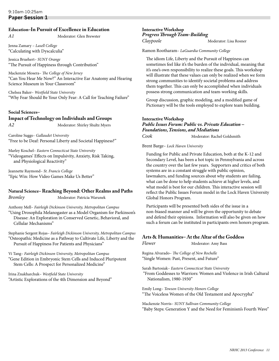#### **Education–In Pursuit of Excellence in Education**

*A1*Moderator: Glen Brewster

Jenna Zamary – *Lasell College* "Calculating with Dyscalculia"

Jessica Bruehert– *SUNY Orange* "The Pursuit of Happiness through Contribution"

Mackenzie Mosera– *The College of New Jersey* "Can You Hear Me Now?" An Interactive Ear Anatomy and Hearing Science Museum in Your Classroom"

Chelsea Baker– *Westfield State University* "Why Fear Should Be Your Only Fear: A Call for Teaching Failure"

#### **Social Sciences– Impact of Technology on Individuals and Groups**

*A2*Moderator: Shirley Shultz Myers

Caroline Suggs– *Gallaudet University*  "Free to be Deaf: Personal Liberty and Societal Happiness?"

Marley Koschel– *Eastern Connecticut State University*  "Videogames' Effects on Impulsivity, Anxiety, Risk Taking, and Physiological Reactivity"

Jeannette Raymond– *St. Francis College*  "Epic Win: How Video Games Make Us Better"

#### **Natural Science– Reaching Beyond: Other Realms and Paths**

**Bromley Moderator: Patricia Warunek** 

Anthony Mell– *Fairleigh Dickinson University, Metropolitan Campus*

"Using Drosophila Melanogaster as a Model Organism for Parkinson's Disease: An Exploration in Conserved Genetic, Behavioral, and Cellular Mechanisms"

Stephanie Sergent Rojas– *Fairleigh Dickinson University, Metropolitan Campus* "Osteopathic Medicine as a Pathway to Cultivate Life, Liberty and the Pursuit of Happiness For Patients and Physicians"

Vi Tang– *Fairleigh Dickinson University, Metropolitan Campus* "Gene Edition in Embryonic Stem Cells and Induced Pluripotent Stem Cells: A Prospect for Personalized Medicine"

Irina Znakharchuk– *Westfield State University* "Artistic Explorations of the 4th Dimension and Beyond"

#### **Interactive Workshop** *Progress Through Team-Building Claypoole*Moderator: Lisa Rosner

Ramon Rootharam– *LaGuardia Community College*

The idiom Life, Liberty and the Pursuit of Happiness can sometimes feel like it's the burden of the individual, meaning that it's one's own responsibility to realize these goals. This workshop will illustrate that these values can only be realized when we form strong communities to identify societal problems and address them together. This can only be accomplished when individuals possess strong communication and team-working skills.

Group discussion, graphic modeling, and a modified game of Pictionary will be the tools employed to explore team building.

#### **Interactive Workshop** *Public Issues Forum: Public vs. Private Education – Foundations, Tensions, and Mediations* **Cook Moderator: Rachel Goldsmith**

Brent Barge– *Lock Haven University*

Funding for Public and Private Education, both at the K-12 and Secondary Level, has been a hot topic in Pennsylvania and across the country over the last few years. Supporters and critics of both systems are in a constant struggle with public opinion, lawmakers, and funding sources about why students are failing, what can be done to help students achieve at higher levels, and what model is best for our children. This interactive session will reflect the Public Issues Forum model in the Lock Haven University Global Honors Program.

Participants will be presented both sides of the issue in a non-biased manner and will be given the opportunity to debate and defend their opinions. Information will also be given on how such a forum can be instituted in participants own honors program.

#### **Arts & Humanities– At the Altar of the Goddess**

**Flower Moderator:** Amy Bass

Regina Alvarado– *The College of New Rochelle* "Single Women: Past, Present, and Future"

Sarah Bartosiak– *Eastern Connecticut State University*

 "From Goddesses to Warriors: Women and Violence in Irish Cultural Nationalism, 1980-1930"

Emily Long– *Towson University Honors College*  "The Voiceless Women of the Old Testament and Apocrypha"

Mackenzie Norris– *SUNY Sullivan Community College* "Baby Steps: Generation Y and the Need for Feminism's Fourth Wave"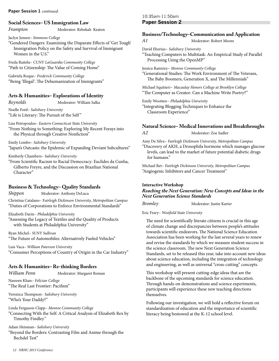#### **Paper Session 1** *continued:*

#### **Social Sciences– US Immigration Law**

*Frampton*Moderator: Rebekah Keaton

Jaclyn Jensen– *Simmons College* 

"Gendered Dangers: Examining the Disparate Effects of 'Get Tough' Immigration Policy on the Safety and Survival of Immigrant Women in the U.S."

Freda Raitelu– *CUNY LaGuardia Community College*  "Path to Citizenship: The Value of Coming Home"

Gabriela Roque– *Frederick Community College*  "Being 'Illegal': The Dehumanization of Immigrants"

#### **Arts & Humanities– Explorations of Identity**

*Reynolds*Moderator: William Salka

Noelle Ford– *Salisbury University* "Life is Literary: The Pursuit of the Self"

Lisa Petropoulos– *Eastern Connecticut State University*

"From Nothing to Something: Exploring My Recent Forays into the Physical through Creative Nonfiction"

Emily Lembo– *Salisbury University* "Japan's Outcasts: the Epidemic of Expanding Deviant Subcultures"

Kimberly Chambers– *Salisbury University*

"From Scientific Racism to Racial Democracy: Euclides da Cunha, Gilberto Freyre, and the Discussion on Brazilian National Character"

#### **Business & Technology– Quality Standards**

**Shippen Moderator: Anthony DeLuca** 

Christina Catalano– F*airleigh Dickinson University, Metropolitan Campus* "Duties of Corporations to Enforce Environmental Standards"

Elizabeth Darin– *Philadelphia University*

"Assessing the Legacy of Textiles and the Quality of Products with Students at Philadelphia University"

Ryan Michel– *SUNY Sullivan* "The Future of Automobiles: Alternatively Fueled Vehicles"

Luis Vaca– *William Paterson University* "Consumer Perceptions of Country of Origin in the Car Industry"

#### **Arts & Humanities– Re-thinking Borders**

*William Penn*Moderator: Margaret Roman

Nasreen Khan– *Felician College* "The Real Last Frontier: Pacifism"

Veronica Thompson– *Salisbury University* "Who's Your Daddy?"

Linda Ferguson-Clapp– *Monroe Community College* "Connecting With the Self: A Critical Analysis of Elizabeth Rex by Timothy Findley*"* 

Adam Heisman– *Salisbury University* 

"Beyond the Borders: Contrasting Film and Anime through the Bechdel Test"

10:35am-11:50am **Paper Session 2**

#### **Business/Technology–Communication and Application**

*A1*Moderator: Robert Moore

David Eberius– *Salisbury University* "Teaching Computers to Multitask: An Empirical Study of Parallel Processing Using the OpenMP"

Jessica Ramirez– *Monroe Community College*

"Generational Studies: The Work Environment of The Veterans, The Baby Boomers, Generation X, and The Millennials"

Michael Squitieri– *Macaulay Honors College at Brooklyn College* "The Computer as Creator: Can a Machine Write Poetry?"

Emily Wootten– *Philadelphia University*

"Integrating Blogging Techniques to Enhance the Classroom Experience"

#### **Natural Science– Medical Innovations and Breakthroughs**

*A2*Moderator: Zoe Sadler

Amy De Silva– *Fairleigh Dickinson University, Metropolitan Campus* "Discovery of AKH, a Drosophila hormone which manages glucose levels, can lead to the market of future potential diabetic drugs for humans."

Michael Ret– *Fairleigh Dickinson University, Metropolitan Campus* "Angiogenic Inhibitors and Cancer Treatment"

#### **Interactive Workshop** *Reaching the Next Generation: New Concepts and Ideas in the Next Generation Science Standards*

**Bromley Moderator: Justin Karter** 

Eric Frary– *Westfield State University*

The need for scientifically literate citizens is crucial in this age of climate change and discrepancies between people's attitudes towards scientific endeavors. The National Science Education Association has been working for the last several years to renew and revise the standards by which we measure student success in the science classroom. The new Next Generation Science Standards, set to be released this year, take into account new ideas about science education, including the integration of technology and engineering, as well as universal "cross-cutting" concepts.

This workshop will present cutting-edge ideas that are the backbone of the upcoming standards for science education. Through hands-on demonstrations and science experiments, participants will experience these new teaching directions themselves.

Following our investigation, we will hold a reflective forum on standardization of education and the importance of scientific literacy being bestowed at the K-12 school level.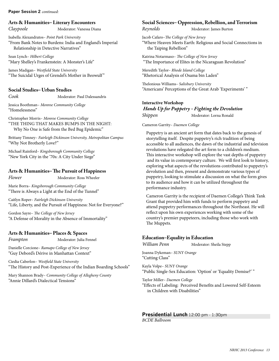#### **Paper Session 2** *continued:*

#### **Arts & Humanities– Literary Encounters**

*Claypoole* Moderator: Vanessa Diana

Isabella Alexandratos– *Point Park University*  "From Bank Notes to Burdens: India and England's Imperial Relationship in Detective Narratives"

Sean Lynch– *Hilbert College* "Mary Shelley's Frankenstein: A Monster's Life"

James Madigan– *Westfield State University* "The Suicidal Urges of Grendel's Mother in Beowulf "

#### **Social Studies– Urban Studies**

**Cook Moderator: Paul Dalessandris** 

Jessica Boothman– *Monroe Community College*  "Homelessness"

Christopher Morris– *Monroe Community College*  "THE THING THAT MAKES BUMPS IN THE NIGHT: Why No One is Safe from the Bed Bug Epidemic"

Brittany Timney– *Fairleigh Dickinson University, Metropolitan Campus*  "Why Not Brotherly Love?"

Michael Rainford– *Kingsborough Community College*  "New York City in the '70s: A City Under Siege"

#### **Arts & Humanities– The Pursuit of Happiness**

*Flower*Moderator: Ross Wheeler

Marie Borra– *Kingsborough Community College* "There is Always a Light at the End of the Tunnel"

Caitlyn Roper– *Fairleigh Dickinson University* "Life, Liberty, and the Pursuit of Happiness: Not for Everyone?"

Gordon Sayre– *The College of New Jersey*  "A Defense of Morality in the Absence of Immortality"

#### **Arts & Humanities– Places & Spaces**

*Frampton*Moderator: Julia Fennel

Danielle Corcione– *Ramapo College of New Jersey*  "Guy Debord's Dérive in Manhattan Context"

Ciedia Caberlon– *Westfield State University*  "The History and Post-Experience of the Indian Boarding Schools"

Mary Shannon Brady– *Community College of Allegheny County*  "Annie Dillard's Dialectical Tensions"

#### **Social Sciences– Oppression, Rebellion, and Terrorism**

*Reynolds* **Moderator: James Burton** 

Jacob Cafaro–*The College of New Jersey*  "Where Heaven Meets Earth: Religious and Social Connections in the Taiping Rebellion"

Katrina Notarmaso– *The College of New Jersey*  "The Importance of Elites in the Nicaraguan Revolution"

Meredith Taylor– *Rhode Island College*  "Rhetorical Analysis of Osama bin Laden"

Thelonious Williams– *Salisbury University*  "Americans' Perceptions of the Great Arab 'Experiments' "

#### **Interactive Workshop**

*Hands Up for Puppetry - Fighting the Devolution Shippen*Moderator: Lorna Ronald

#### Cameron Garrity– *Daemen College*

Puppetry is an ancient art form that dates back to the genesis of storytelling itself. Despite puppetry's rich tradition of being accessible to all audiences, the dawn of the industrial and television revolutions have relegated the art form to a children's medium. This interactive workshop will explore the vast depths of puppetry and its value in contemporary culture. We will first look to history, exploring what aspects of the revolutions contributed to puppetry's devolution and then, present and demonstrate various types of puppetry, looking to stimulate a discussion on what the form gives to its audience and how it can be utilized throughout the performance industry.

Cameron Garrity is the recipient of Daemen College's Think Tank Grant that provided him with funds to perform puppetry and attend puppetry performances throughout the Northeast. He will reflect upon his own experiences working with some of the country's premier puppeteers, including those who work with The Muppets.

#### **Education–Equality in Education**

*William Penn*Moderator: Sheila Stepp

Joanna Dykeman– *SUNY Orange* "Cutting Class"

Kayla Volpe– *SUNY Orange* "Public Single-Sex Education: 'Option' or 'Equality Demise?' "

Taylor Miller– *Daemen College*

"Effects of Labeling: Perceived Benefits and Lowered Self-Esteem in Children with Disabilities"

**Presidential Lunch** 12:00 pm - 1:30pm *BCDE Ballroom*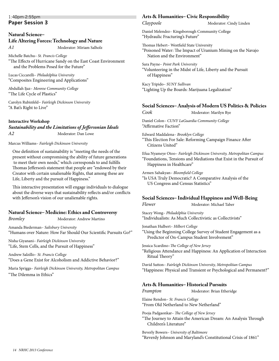#### 1:40pm-2:55pm **Paper Session 3**

#### **Natural Science– Life Altering Forces: Technology and Nature** *A1*Moderator: Miriam Salholz

Michelle Batchu– *St. Francis College*

"The Effects of Hurricane Sandy on the East Coast Environment and the Problems Posed for the Future"

Lucas Ciccarelli– *Philadelphia University* "Composites Engineering and Applications"

Abdullah Ijaz– *Monroe Community College* "The Life Cycle of Plastics"

Carolyn Rubinfeld*– Fairleigh Dickinson University* "A Bat's Right to Live"

#### **Interactive Workshop**

#### *Sustainability and the Limitations of Jeffersonian Ideals A2* Moderator: Dan Lowe

Marcus Williams– *Fairleigh Dickinson University*

One definition of sustainability is "meeting the needs of the present without compromising the ability of future generations to meet their own needs," which corresponds to and fulfills Thomas Jefferson's statement that people are "endowed by their Creator with certain unalienable Rights, that among these are Life, Liberty and the pursuit of Happiness."

This interactive presentation will engage individuals to dialogue about the diverse ways that sustainability reflects and/or conflicts with Jefferson's vision of our unalienable rights.

#### **Natural Science– Medicine: Ethics and Controversy**

**Bromley Moderator: Andrew Martino** 

Amanda Biederman– *Salisbury University* "Humans over Nature: How Far Should Our Scientific Pursuits Go?"

Nisha Giyanani– *Fairleigh Dickinson University* "Life, Stem Cells, and the Pursuit of Happiness"

Andrew Salzillo– *St. Francis College* "Does a Gene Exist for Alcoholism and Addictive Behavior?"

Maria Spriggs– *Fairleigh Dickinson University, Metropolitan Campus* "The Dilemma in Ethics"

#### **Arts & Humanities– Civic Responsibility**

*Claypoole* **Moderator: Cindy Linden** 

Daniel Melendez– Kingsborough Community College "Hydraulic Fracturing's Future"

Thomas Hebert– Westfield State University "Poisoned Water: The Impact of Uranium Mining on the Navajo Nation and the Environment"

Sara Payne– *Point Park University*  "Volunteering in the Midst of Life, Liberty and the Pursuit of Happiness"

Kacy Tripido– *SUNY Sullivan*  "Lighting Up the Boards: Marijuana Legalization"

#### **Social Sciences– Analysis of Modern US Politics & Policies**

**Cook** Moderator: Marilyn Rye

Daniel Colon– *CUNY LaGuardia Community College*  "Affirmative Faction"

Edward Maddalena– *Brooklyn College* 

"This Election For Sale: Reforming Campaign Finance After Citizens United"

Efua Nyameye Otoo– *Fairleigh Dickinson University, Metropolitan Campus*  "Foundations, Tensions and Mediations that Exist in the Pursuit of Happiness in Healthcare"

Armen Sahakyan– *Bloomfield College* 

"Is USA Truly Democratic? A Comparative Analysis of the US Congress and Census Statistics"

#### **Social Sciences– Individual Happiness and Well-Being**

*Flower* Moderator: Michael Taber

Stacey Wong– *Philadelphia University*  "Individualists: As Much Collectivistic as Collectivists"

Jonathan Hulbert– *Hilbert College* 

"Using the Beginning College Survey of Student Engagement as a Predictor of On-Campus Student Involvement"

Jessica Scardino–*The College of New Jersey* 

"Religious Attendance and Happiness: An Application of Interaction Ritual Theory"

David Sutton– *Fairleigh Dickinson University, Metropolitan Campus*  "Happiness: Physical and Transient or Psychological and Permanent?"

#### **Arts & Humanities– Historical Pursuits**

**Frampton** Moderator: Brian Etheridge

Elaine Rendon– *St. Francis College* "From Old Netherland to New Netherland"

Pooja Padgaonkar– *The College of New Jersey* "The Journey to Attain the American Dream: An Analysis Through Children's Literature"

Beverly Bowers– *University of Baltimore*  "Reverdy Johnson and Maryland's Constitutional Crisis of 1861"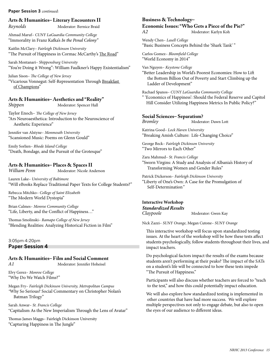#### **Paper Session 3** *continued:*

#### **Arts & Humanities– Literary Encounters II**

*Reynolds* Moderator: Bernice Braid

Ahmad Maruf– *CUNY LaGuardia Community College*  "Immorality in Franz Kafka's *In the Penal Colony"*

Kaitlin McClary– *Fairleigh Dickinson University* "The Pursuit of Happiness in Cormac McCarthy's The Road"

Sarah Montanari– *Shippensburg University* "You're Doing it Wrong": William Faulkner's Happy Existentialism"

**Moderator: Spencer Hall** 

Julian Sison– *The College of New Jersey* "Vicarious Vonnegut: Self-Representation Through Breakfast of Champions"

# **Arts & Humanities– Aesthetics and "Reality"**

Taylor Enoch– *The College of New Jersey*  "Ars Neuroaesthetica: Introduction to the Neuroscience of

Jennifer van Alstyne– *Monmouth University*  "Scansioned Music: Poems on Glenn Gould"

Aesthetic Experience"

Emily Sorlien– *Rhode Island College*  "Death, Bondage, and the Pursuit of the Grotesque"

# **Arts & Humanities– Places & Spaces II**

**Moderator: Nicole Anderson** 

Lauren Lake– *University of Baltimore*  "Will eBooks Replace Traditional Paper Texts for College Students?"

Rebecca Mitchko– *College of Saint Elizabeth*  "The Modern World Dystopia"

Brian Calmes– *Monroe Community College*  "Life, Liberty, and the Conflict of Happiness…"

Thomas Smolinski– *Ramapo College of New Jersey*  "Blending Realities: Analyzing Historical Fiction in Film"

3:05pm-4:20pm **Paper Session 4**

# **Arts & Humanities– Film and Social Comment**

*A1* Moderator: Jennifer Hoheisel

Elvy Gerez– *Monroe College*  "Why Do We Watch Films?"

Megan Fry– *Fairleigh Dickinson University, Metropolitan Campus "*Why So Serious? Social Commentary on Christopher Nolan's Batman Trilogy"

Sarah Anwar– *St. Francis College* "Capitalism As the New Imperialism Through the Lens of Avatar"

Thomas James Maggs– Fairleigh Dickinson University "Capturing Happiness in The Jungle"

#### **Business & Technology–**

**Economic Issues: "Who Gets a Piece of the Pie?"**

*A2* Moderator: Karlyn Koh

Wendy Chen– *Lasell College* "Basic Business Concepts Behind the 'Shark Tank' "

Carlos Gomez– *Bloomfield College*  "World Economy in 2014"

Van Nguyen– *Keystone College*

"Better Leadership in World's Poorest Economies: How to Lift the Bottom Billion Out of Poverty and Start Climbing up the Ladder of Development"

Rachael Spanos– *CUNY LaGuardia Community College* " 'Economics of Happiness': Should the Federal Reserve and Capitol

Hill Consider Utilizing Happiness Metrics In Public Policy?"

#### **Social Sciences– Separatism? Moderator: Dawn Lott**

Katrina Good– *Lock Haven University*  "Breaking Amish Culture: Life-Changing Choice"

George Beck– *Fairleigh Dickinson University*  "Two Mirrors to Each Other"

Zara Mahmud– *St. Francis College*  "Sworn Virgins: A Study and Analysis of Albania's History of Transforming Women and Gender Rules"

Patrick Dickerson– *Fairleigh Dickinson University* 

"Liberty of One's Own: A Case for the Promulgation of Self-Determination*"* 

## **Interactive Workshop** *Standardized Results*

**Moderator: Gwen Kay** 

Nick Zazzi– *SUNY Orange,* Megan Cutone– *SUNY Orange*

This interactive workshop will focus upon standardized testing issues. At the heart of the workshop will be how these tests affect students psychologically, follow students throughout their lives, and impact teachers.

Do psychological factors impact the results of the exams because students aren't performing at their peaks? The impact of the SATs on a student's life will be connected to how these tests impede "The Pursuit of Happiness."

Participants will also discuss whether teachers are forced to "teach to the test," and how this could potentially impact education.

We will also explore how standardized testing is implemented in other countries that have had more success. We will explore multiple perspectives not only to engage debate, but also to open the eyes of our audience to different ideas.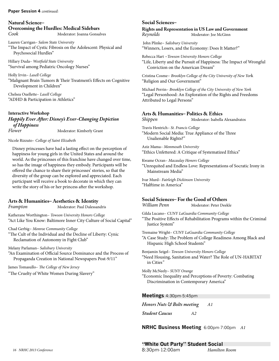#### **Paper Session 4** *continued:*

#### **Natural Science– Overcoming the Hurdles: Medical Sidebars Moderator: Joanna Gonsalves**

Lauren Carrigan– *Salem State University* "The Impact of Cystic Fibrosis on the Adolescent: Physical and Psychosocial Hurdles"

Hillary Duda– *Westfield State University* "Survival among Pediatric Oncology Nurses"

Holly Irvin– *Lasell College* "Malignant Brain Tumors & Their Treatment's Effects on Cognitive Development in Children"

Chelsea Ouellette– *Lasell College* "ADHD & Participation in Athletics"

#### **Interactive Workshop**

*Happily Ever After: Disney's Ever-Changing Depiction of Happiness*

**Moderator: Kimberly Grant** 

#### Nicole Rizzuto– *College of Saint Elizabeth*

Disney princesses have had a lasting effect on the perception of happiness for young girls in the United States and around the world. As the princesses of this franchise have changed over time, so has the image of happiness they embody. Participants will be offered the chance to share their princesses' stories, so that the diversity of the group can be explored and appreciated. Each participant will receive a book to decorate in which they can write the story of his or her princess after the workshop.

# **Arts & Humanities– Aesthetics & Identity**

Katherane Worthington– *Towson University Honors College*  "Act Like You Know: Baltimore Inner City Culture of Social Capital"

*Moderator: Paul Dalessandris* 

Chad Gerbig– *Monroe Community College* 

"The Cult of the Individual and the Decline of Liberty: Cynic Reclamation of Autonomy in Fight Club"

Melany Parlaman– *Salisbury University* 

"An Examination of Official Source Dominance and the Process of Propaganda Creation in National Newspapers Post-9/11"

James Tomasullo– *The College of New Jersey* 

"The Cruelty of White Women During Slavery"

#### **Social Sciences–**

**Rights and Representation in US Law and Government**  *Reynolds* Moderator: Joe McGinn

 John Plinke– *Salisbury University*  "Winners, Losers, and the Economy: Does It Matter?"

Rebecca Hart –*Towson University Honors College*  "Life, Liberty and the Pursuit of Happiness: The Impact of Wrongful Conviction on the American Dream"

Cristina Cosme– *Brooklyn College of the City University of New Yor*k "Religion and Our Government"

Michael Perrin– *Brooklyn College of the City University of New York* "Legal Personhood: An Exploration of the Rights and Freedoms Attributed to Legal Persons"

# **Arts & Humanities– Politics & Ethics**

*Shippen* Moderator: Isabella Alexandratos

Travis Hentrich– *St. Francis College*  "Modern Social Media: True Appliance of the Three Unalienable Rights?"

Aziz Mama– *Monmouth University*  "Ethics Unfettered: A Critique of Systematized Ethics"

Kwame Ocran– *Macaulay Honors College* 

"Unrequited and Endless Love: Representations of Socratic Irony in Mainstream Media"

Ivar Murd– *Fairleigh Dickinson University*  "Halftime in America"

# **Social Sciences– For the Good of Others**

*William Penn* Moderator: Peter Deekle

Gilda Lucano– *CUNY LaGuardia Community College*  "The Positive Effects of Rehabilitation Programs within the Criminal Justice System"

Tremaine Wright– *CUNY LaGuardia Community College*  "A Case Study: The Problem of College Readiness Among Black and Hispanic High School Students"

Benjamin Seigel– *Towson University Honors College*  "Need Housing, Sanitation and Water? The Role of UN-HABITAT in Cities*"*

Molly McNeely– *SUNY Orange* 

"Economic Inequality and Perceptions of Poverty: Combating Discrimination in Contemporary America"

**Meetings** 4:30pm-5:45pm

*Honors Nuts & Bolts meeting A1*

*Student Caucus A2*

**NRHC Business Meeting** 6:00pm-7:00pm *A1*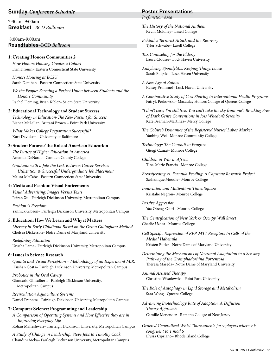#### **Sunday** *Conference Schedule*

7:30am-9:00am **Breakfast**– *BCD Ballroom* 

 8:00am-9:00am **Roundtables**–BCD *Ballroom*

#### **1: Creating Honors Communities 2**

*How Honors Housing Creates a Cohort*  Erin Drouin– Eastern Connecticut State University

*Honors Housing at ECSU*  Sarah Denihan– Eastern Connecticut State University

*We the People: Forming a Perfect Union between Students and the Honors Community*  Rachel Fleming, Brian Kibler– Salem State University

#### **2: Educational Technology and Student Success**

*Technology in Education-The New Pursuit for Success*  Bianca McLellan, Brittani Brown – Point Park University

*What Makes College Preparation Successful?*  Kurt Davidson– University of Baltimore

#### **3: Student Futures: The Role of American Education**

*The Future of Higher Education in America*  Amanda DeNardo– Camden County College

*Graduate with a Job: the Link Between Career Services Utilization & Successful Undergraduate Job Placement*  Maura McCabe– Eastern Connecticut State University

#### **4: Media and Fashion: Visual Enticements**

*Visual Advertising: Images Versus Texts*  Peiran Xu– Fairleigh Dickinson University, Metropolitan Campus

*Fashion is Freedom*  Yannick Gibson– Fairleigh Dickinson University, Metropolitan Campus

#### **5: Education: How We Learn and Why it Matters**

*Literacy in Early Childhood Based on the Orton Gillingham Method*  Chelsea Dickerson– Notre Dame of Maryland University

*Redefining Education* Urusha Lama– Fairleigh Dickinson University, Metropolitan Campus

#### **6: Issues in Science Research**

*Quanta and Visual Perception – Methodology of an Experiment M.R.* Kushan Costa– Fairleigh Dickinson University, Metropolitan Campus

*Probotics in the Oral Cavity*  Giancarlo Ghisalberti– Fairleigh Dickinson University, Metropolitan Campus

*Recirculation Aquaculture Systems*  Daniel Francess– Fairleigh Dickinson University, Metropolitan Campus

#### **7: Computer Science: Programming and Leadership**

*A Comparison of Operating Systems and How Effective they are in Improving Everyday Life* 

Rohan Maheshwari– Fairleigh Dickinson University, Metropolitan Campus

*A Study of Change in Leadership; Steve Jobs to Timothy Cook*  Chandini Meka– Fairleigh Dickinson University, Metropolitan Campus

#### **Poster Presentations**

*Prefunction Area*

*The History of the National Anthem*  Kevin Moloney– Lasell College

*Behind a Terrorist Attack and the Recovery*  Tyler Schwabe– Lasell College

*Tax Counseling for the Elderly*  Laura Clouser– Lock Haven University

*Ankylosing Spondylitis, Keeping Things Loose*  Sarah Filipski– Lock Haven University

*A New Age of Bullies*  Kelsey Prommel– Lock Haven University

- *A Comparative Study of Cost Sharing in International Health Programs* Patryk Perkowski– Macaulay Honors College of Queens College
- *"I don't care; I'm still free. You can't take the sky from me": Breaking Free of Dark Genre Conventions in Joss Whedon's Serenity*  Kate Beaman-Martinez– Mercy College
- *The Cobweb Dynamics of the Registered Nurses' Labor Market*  Yanbing Wei– Monroe Community College
- *Technology: The Conduit to Progress*  Gjergi Camaj– Monroe College

*Children in War in Africa*  Tina-Marie Francis– Monroe College

- *Breastfeeding vs. Formula Feeding: A Capstone Research Project*  Sashanique Moodie– Monroe College
- *Innovation and Motivation: Times Square*  Kristalie Negron– Monroe College

*Passive Aggression*  Yaa Obeng-Ofori– Monroe College

*The Gentrification of New York & Occupy Wall Street*  Charlie Uzhca –Monroe College

*Cell Specific Expression of RFP-MT1 Receptors In Cells of the Medial Habenula* Kristen Butler– Notre Dame of Maryland University

*Determining the Mechanisms of Neuronal Adaptation in a Sensory Pathway of the Gromphadorhina Portentosa*  Theresa Maseda– Notre Dame of Maryland University

*Animal Assisted Therapy*  Christina Wisniewski– Point Park University

*The Role of Autophagy in Lipid Storage and Metabolism*  Sara Wong– Queens College

*Advancing Biotechnology Rate of Adoption: A Diffusion Theory Approach*  Camille Menendez– Ramapo College of New Jersey

*Ordered Generalized Whist Tournaments for v players where v is congruent to 1 mod 6*  Elyssa Cipriano– Rhode Island College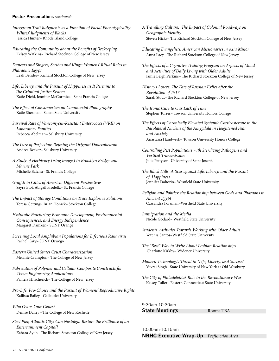#### **Poster Presentations** *continued:*

- *Intergroup Trait Judgments as a Function of Facial Phenotypicality: Whites' Judgments of Blacks*  Jessica Hunter– Rhode Island College
- *Educating the Community about the Benefits of Beekeeping* Kelsey Watkins– Richard Stockton College of New Jersey

*Dancers and Singers, Scribes and Kings: Womens' Ritual Roles in Pharaonic Egypt* Leah Bender– Richard Stockton College of New Jersey

- *Life, Liberty, and the Pursuit of Happiness as It Pertains to The Criminal Justice System*  Katie Diehl, Jennifer McCormick– Saint Francis College
- *The Effect of Consumerism on Commercial Photography*  Katie Sherman– Salem State University

*Survival Rate of Vancomycin-Resistant Enterococci (VRE) on Laboratory Fomites* Rebecca Abelman– Salisbury University

- *The Lure of Perfection: Refining the Origami Dodecahedron*  Andrea Becker– Salisbury University
- *A Study of Herbivory Using Image J in Brooklyn Bridge and Marine Park* Michelle Batchu– St. Francis College
- *Graffiti in Cities of America: Different Perspectives*  Sayra Bibi, Abigail Frodella– St. Francis College
- *The Impact of Storage Conditions on Trace Explosive Solutions*  Teresa Gettings, Brian Honick– Stockton College
- *Hydraulic Fracturing: Economic Development, Environmental Consequences, and Energy Independence*  Margaret Damken– SUNY Orange
- *Screening Local Amphibian Populations for Infectious Ranavirus*  Rachel Cary– SUNY Oswego
- *Eastern United States Crust Characterization*  Melanie Crampton– The College of New Jersey
- *Fabrication of Polymer and Cellular Composite Constructs for Tissue Engineering Applications*  Pamela Hitscherich– The College of New Jersey
- *Pro-Life, Pro-Choice and the Pursuit of Womens' Reproductive Rights*  Kallissa Bailey– Gallaudet University
- *Who Owns Your Genes?*  Denise Dailey –The College of New Rochelle
- *Steel Pier, Atlantic City: Can Nostalgia Restore the Brilliance of an Entertainment Capital?*  Zahara Ayub– The Richard Stockton College of New Jersey

*A Travelling Culture: The Impact of Colonial Roadways on Geographic Identity*  Steven Hicks– The Richard Stockton College of New Jersey

*Educating Evangelists: American Missionaries in Asia Minor*  Anna Lacy– The Richard Stockton College of New Jersey

- *The Effects of a Cognitive Training Program on Aspects of Mood and Activities of Daily Living with Older Adults*  Jamie Leigh Perkins– The Richard Stockton College of New Jersey
- *History's Losers: The Fate of Russian Exiles after the Revolution of 1917* Sarah Stout–The Richard Stockton College of New Jersey
- *The Ironic Cure to Our Lack of Time* Stephen Torres– Towson University Honors College
- *The Effects of Chronically Elevated Systemic Corticosterone in the Basolateral Nucleus of the Amygdala in Heightened Fear and Anxiety* Anastasia Handwerk– Towson University Honors College
- *Controlling Pest Populations with Sterilizing Pathogens and Vertical Transmission*  Julie Pattyson–University of Saint Joseph
- *The Black Hills: A Scar against Life, Liberty, and the Pursuit of Happiness* Jennifer Daltorio– Westfield State University
- *Religion and Politics: the Relationship between Gods and Pharaohs in Ancient Egypt*  Cassandra Forsman–Westfield State University
- *Immigration and the Media*  Nicole Godard– Westfield State University
- *Students' Attitudes Towards Working with Older Adults* Yezenia Santos–Westfield State University
- *The "Best" Way to Write About Lesbian Relationships*  Charlotte Kirkby– Widener University
- *Modern Technology's Threat to "Life, Liberty, and Success"*  Yuvraj Singh– State University of New York at Old Westbury
- *The City of Philadelphia's Role in the Revolutionary War*  Kelsey Tuller– Eastern Connecticut State University

9:30am-10:30am **State Meetings Rooms TBA** 

10:00am-10:15am **NRHC Executive Wrap-Up** *Prefunction Area*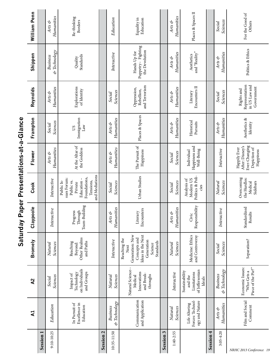|                         | $\mathbf{z}$                                        | $\lambda$                                                             | <b>Bromely</b>                                                                                                     | Claypoole                            | Cook                                                                                                             | Flower                                                                        | Frampton                       | Reynolds                                                    | Shippen                                             | William Penn                  |
|-------------------------|-----------------------------------------------------|-----------------------------------------------------------------------|--------------------------------------------------------------------------------------------------------------------|--------------------------------------|------------------------------------------------------------------------------------------------------------------|-------------------------------------------------------------------------------|--------------------------------|-------------------------------------------------------------|-----------------------------------------------------|-------------------------------|
| Session 1               |                                                     |                                                                       |                                                                                                                    |                                      |                                                                                                                  |                                                                               |                                |                                                             |                                                     |                               |
| $9:10 - 10:25$          | Education                                           | <b>Sciences</b><br>Social                                             | <b>Sciences</b><br>Natural                                                                                         | Interactive                          | Interactive                                                                                                      | Humanities<br>Arts &                                                          | <b>Sciences</b><br>Social      | Humanities<br>Arts &                                        | & Technology<br><b>Business</b>                     | Humanities<br>Arts &          |
|                         | Excellence in<br>In Pursuit of<br>Education         | on Individuals<br>and Groups<br>Technology<br>Impact of               | Other Realms<br>and Paths<br>Reaching<br>Beyond:                                                                   | Team-Building<br>Progress<br>Through | and Mediations<br>Foundations,<br>sues Forum:<br>Education -<br>Public vs.<br>Tensions,<br>Public Is-<br>Private | At the Altar of<br>the Goddess                                                | Immigration<br>$\rm Law$<br>SQ | Explorations<br>of Identity                                 | Standards<br>Quality                                | Re-thinking<br><b>Borders</b> |
| Session <sub>2</sub>    |                                                     |                                                                       |                                                                                                                    |                                      |                                                                                                                  |                                                                               |                                |                                                             |                                                     |                               |
| 10:35-11:50             | & Technology<br><b>Business</b>                     | <b>Sciences</b><br>Natural                                            | Interactive                                                                                                        | Humanities<br>Arts &                 | Sciences<br>Social                                                                                               | Humanities<br>Arts &                                                          | Humanities<br>Arts &           | <b>Sciences</b><br>Social                                   | Interactive                                         | Education                     |
|                         | Communication<br>and Application                    | Natural Science--<br>Innovations<br>and Break-<br>throughs<br>Medical | Ideas in the Next<br>Generation: New<br>Concepts and<br>Reaching the<br>Generation<br>Standards<br>Science<br>Next | Encounters<br>Literary               | Urban Studies                                                                                                    | The Pursuit of<br>Happiness                                                   | Places & Spaces                | and Terrorism<br>Oppression,<br>Rebellion,                  | Puppetry-Fighting<br>the Devolution<br>Hands Up for | Equality in<br>Education      |
| Session 3               |                                                     |                                                                       |                                                                                                                    |                                      |                                                                                                                  |                                                                               |                                |                                                             |                                                     |                               |
| 1:40-2:55               | <b>Sciences</b><br>Natural                          | Interactive                                                           | <b>Sciences</b><br>Natural                                                                                         | Humanities<br>Arts &                 | <b>Sciences</b><br>Social                                                                                        | <b>Sciences</b><br>Social                                                     | Humanities<br>Arts &           | Humanities<br>Arts &                                        | Humanities<br>Arts &                                | Humanities<br>Arts &          |
|                         | Forces: Technol-<br>ogy and Nature<br>Life Altering | of Jeffersonian<br>Sustainability<br>Limitations<br>and the<br>Ideals | Medicine: Ethics<br>and Controversy                                                                                | Responsibility<br>Civic              | Politics & Poli-<br>Modern US<br>Analysis of<br>cies                                                             | Happiness and<br>Well-Being<br>Individual                                     | Historical<br>Pursuits         | Encounters II<br>Literary                                   | and "Reality"<br>Aesthetics                         | Places & Spaces II            |
| Session 4               |                                                     |                                                                       |                                                                                                                    |                                      |                                                                                                                  |                                                                               |                                |                                                             |                                                     |                               |
| $3:05 - 4:20$           | Humanities<br>Arts &                                | & Technology<br><b>Business</b>                                       | <b>Sciences</b><br>Social                                                                                          | Interactive                          | Sciences<br>Natural                                                                                              | Interactive                                                                   | Humanities<br>Arts &           | <b>Sciences</b><br>Social                                   | Humanities<br>Arts &                                | <b>Sciences</b><br>Social     |
| NRHC 2013 Conference 19 | Film and Social<br>Comment                          | Economic Issues:<br>Piece of the Pie?"<br>"Who Gets a                 | Separatism?                                                                                                        | Standardized<br>Results              | Overcoming<br>the Hurdles:<br>Sidebars<br>Medical                                                                | Ever-Changing<br>After: Disney's<br>Depiction of<br>Happily Ever<br>Happiness | Aesthetics &<br>Identity       | Representation<br>in US Law and<br>Government<br>Rights and | Politics & Ethics                                   | For the Good of<br>Others     |

# Saturday Paper Presentations-at-a-Glance **Saturday Paper Presentations-at-a-Glance**